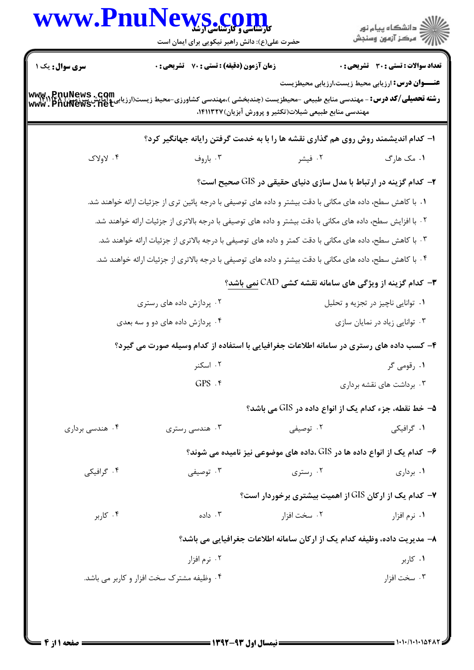|                 | www.PnuNews.com<br>حضرت علی(ع): دانش راهبر نیکویی برای ایمان است                                                                      |                                                                          | ∭د دانشگاه پيام نور<br>∭ مرکز آزمون وسنڊش                |
|-----------------|---------------------------------------------------------------------------------------------------------------------------------------|--------------------------------------------------------------------------|----------------------------------------------------------|
| سری سوال: یک ۱  | زمان آزمون (دقیقه) : تستی : 70 ٪ تشریحی : 0                                                                                           |                                                                          | <b>تعداد سوالات : تستی : 30 ٪ تشریحی : 0</b>             |
|                 | رشته تحصیلی/کد درس: - مهندسی منابع طبیعی -محیطزیست (چندبخشی )،مهندسی کشاورزی-محیط زیست(ارزیابی وامایش شیرزیمها<br>www . PnuNews . net | مهندسی منابع طبیعی شیلات(تکثیر و پرورش آبزیان)۱۴۱۱۳۲۷،                   | <b>عنــــوان درس:</b> ارزیابی محیط زیست،ارزیابی محیطزیست |
|                 | ا- کدام اندیشمند روش روی هم گذاری نقشه ها را با به خدمت گرفتن رایانه جهانگیر کرد؟                                                     |                                                                          |                                                          |
| ۰۴ لاولاک       | ۰۳ باروف                                                                                                                              | ۰۲ فیشر                                                                  | ۰۱ مک هارگ                                               |
|                 |                                                                                                                                       | <b>۲</b> - کدام گزینه در ارتباط با مدل سازی دنیای حقیقی در GIS صحیح است؟ |                                                          |
|                 | ۰۱ با کاهش سطح، داده های مکانی با دقت بیشتر و داده های توصیفی با درجه پائین تری از جزئیات ارائه خواهند شد.                            |                                                                          |                                                          |
|                 | ۰۲ با افزایش سطح، داده های مکانی با دقت بیشتر و داده های توصیفی با درجه بالاتری از جزئیات ارائه خواهند شد.                            |                                                                          |                                                          |
|                 | ۰۳ با کاهش سطح، داده های مکانی با دقت کمتر و داده های توصیفی با درجه بالاتری از جزئیات ارائه خواهند شد.                               |                                                                          |                                                          |
|                 | ۰۴ با کاهش سطح، داده های مکانی با دقت بیشتر و داده های توصیفی با درجه بالاتری از جزئیات ارائه خواهند شد.                              |                                                                          |                                                          |
|                 |                                                                                                                                       | ۳- کدام گزینه از ویژگی های سامانه نقشه کشی CAD نمی باشد؟                 |                                                          |
|                 | ۰۲ پردازش داده های رستری                                                                                                              |                                                                          | ۰۱ توانایی ناچیز در تجزیه و تحلیل                        |
|                 | ۰۴ پردازش داده های دو و سه بعدی                                                                                                       |                                                                          | ۰۳ توانایی زیاد در نمایان سازی                           |
|                 | ۴- کسب داده های رستری در سامانه اطلاعات جغرافیایی با استفاده از کدام وسیله صورت می گیرد؟                                              |                                                                          |                                                          |
|                 | ۰۲ اسکنر                                                                                                                              |                                                                          | ۰۱ رقومی گر                                              |
|                 | $GPS.$ *                                                                                                                              |                                                                          | ۰۳ برداشت های نقشه برداری                                |
|                 |                                                                                                                                       | ۵– خط نقطه، جزء کدام یک از انواع داده در GIS می باشد؟                    |                                                          |
| ۰۴ هندسی برداری | ۰۳ هندسی رستری                                                                                                                        | ۰۲ توصیفی                                                                | ۰۱ گرافیکی                                               |
|                 |                                                                                                                                       | ۶– کدام یک از انواع داده ها در GIS ،داده های موضوعی نیز نامیده می شوند؟  |                                                          |
| ۰۴ گرافیکی      | ۰۳ توصیفی                                                                                                                             | ۰۲ رستری                                                                 | ۰۱ برداری                                                |
|                 |                                                                                                                                       | ۷- کدام یک از ارکان GIS از اهمیت بیشتری برخوردار است؟                    |                                                          |
| ۰۴ کاربر        | ۰۳ داده                                                                                                                               | ۰۲ سخت افزار                                                             | ۰۱ نرم افزار                                             |
|                 |                                                                                                                                       | ۸– مدیریت داده، وظیفه کدام یک از ارکان سامانه اطلاعات جغرافیایی می باشد؟ |                                                          |
|                 | ۰۲ نرم افزار                                                                                                                          |                                                                          | ۰۱ کاربر                                                 |
|                 | ۰۴ وظیفه مشترک سخت افزار و کاربر می باشد.                                                                                             |                                                                          | ۰۳ سخت افزار                                             |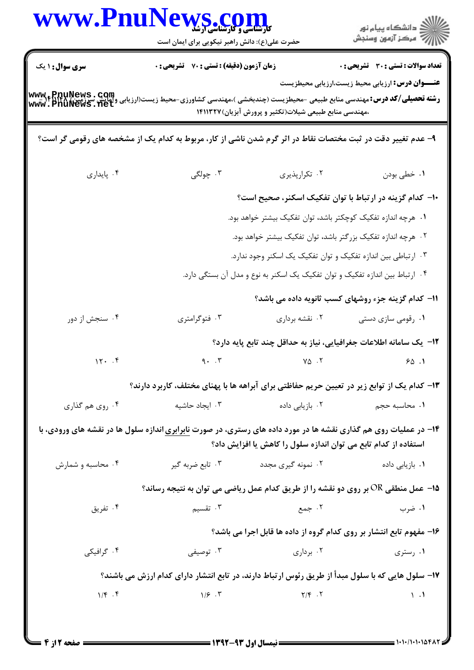| www.Pnu                | VS .COM<br>حضرت علی(ع): دانش راهبر نیکویی برای ایمان است                                                         |                                                                               | ڪ دانشڪاه پيام نور<br>۾ سرڪز آزمون وسنڊش                |
|------------------------|------------------------------------------------------------------------------------------------------------------|-------------------------------------------------------------------------------|---------------------------------------------------------|
| <b>سری سوال : ۱ یک</b> | زمان آزمون (دقیقه) : تستی : 70 گشریحی : 0                                                                        |                                                                               | <b>تعداد سوالات : تستی : 30 ٪ تشریحی : 0</b>            |
| www.PnuNews.com        | <b>رشته تحصیلی/کد درس:</b> مهندسی منابع طبیعی -محیطزیست (چندبخشی )،مهندسی کشاورزی-محیط زیست(ارزیابی              | ،مهندسی منابع طبیعی شیلات(تکثیر و پرورش آبزیان)۱۴۱۱۳۲۷                        | <b>عنـــوان درس:</b> ارزیابی محیط زیست،ارزیابی محیطزیست |
|                        | ۹- عدم تغییر دقت در ثبت مختصات نقاط در اثر گرم شدن ناشی از کار، مربوط به کدام یک از مشخصه های رقومی گر است؟      |                                                                               |                                                         |
| ۰۴ پایداری             | ۰۳ چولگی                                                                                                         | ۰۲ تکرارپذیری                                                                 | ١. خطي بودن                                             |
|                        |                                                                                                                  | ۱۰– کدام گزینه در ارتباط با توان تفکیک اسکنر، صحیح است؟                       |                                                         |
|                        |                                                                                                                  | <mark>۱</mark> .   هرچه اندازه تفکیک کوچکتر باشد، توان تفکیک بیشتر خواهد بود. |                                                         |
|                        |                                                                                                                  | ۰۲ هرچه اندازه تفکیک بزرگتر باشد، توان تفکیک بیشتر خواهد بود.                 |                                                         |
|                        |                                                                                                                  | ۰۳ ارتباطی بین اندازه تفکیک و توان تفکیک یک اسکنر وجود ندارد.                 |                                                         |
|                        |                                                                                                                  | ۰۴ ارتباط بین اندازه تفکیک و توان تفکیک یک اسکنر به نوع و مدل آن بستگی دارد.  |                                                         |
|                        |                                                                                                                  |                                                                               | 11– کدام گزینه جزء روشهای کسب ثانویه داده می باشد؟      |
| ۰۴ سنجش از دور         | ۰۳ فتوگرامتری                                                                                                    | ۰۲ نقشه برداري                                                                | ۰۱ رقومی سازی دستی                                      |
|                        |                                                                                                                  | ۱۲– یک سامانه اطلاعات جغرافیایی، نیاز به حداقل چند تابع پایه دارد؟            |                                                         |
| 17.7                   | 9.7                                                                                                              | $Y\Delta$ . $Y$                                                               | 90.1                                                    |
|                        | ۱۳– کدام یک از توابع زیر در تعیین حریم حفاظتی برای آبراهه ها با پهنای مختلف، کاربرد دارند؟                       |                                                                               |                                                         |
| ۰۴ روي هم گذاري        | ۰۳ ایجاد حاشیه                                                                                                   | ۰۲ بازیابی داده                                                               | ۰۱ محاسبه حجم                                           |
|                        | ۱۴- در عملیات روی هم گذاری نقشه ها در مورد داده های رستری، در صورت نابرابری اندازه سلول ها در نقشه های ورودی، با |                                                                               |                                                         |
|                        |                                                                                                                  | استفاده از کدام تابع می توان اندازه سلول را کاهش یا افزایش داد؟               |                                                         |
| ۰۴ محاسبه و شمارش      | ۰۳ تابع ضربه گیر                                                                                                 | ۰۲ نمونه گیری مجدد                                                            | <b>۱</b> . بازیابی داده                                 |
|                        | 15 - عمل منطقی OR بر روی دو نقشه را از طریق کدام عمل ریاضی می توان به نتیجه رساند؟                               |                                                                               |                                                         |
| ۰۴ تفریق               | ۰۳ تقسیم                                                                                                         | ۰۲ جمع                                                                        | ۰۱ ضرب                                                  |
|                        |                                                                                                                  | ۱۶- مفهوم تابع انتشار بر روی کدام گروه از داده ها قابل اجرا می باشد؟          |                                                         |
| ۰۴ گرافیکی             | ۰۳ توصیفی                                                                                                        | ۰۲ برداری                                                                     | ۰۱ رستری                                                |
|                        | ۱۷– سلول هایی که با سلول مبدأ از طریق رئوس ارتباط دارند، در تابع انتشار دارای کدام ارزش می باشند؟                |                                                                               |                                                         |
| $1/\xi$ . $\xi$        |                                                                                                                  | $\gamma/\mathfrak{F}$ . T $\gamma/\mathfrak{F}$ . T                           | $\setminus \cdot$                                       |
|                        |                                                                                                                  |                                                                               |                                                         |
|                        |                                                                                                                  |                                                                               |                                                         |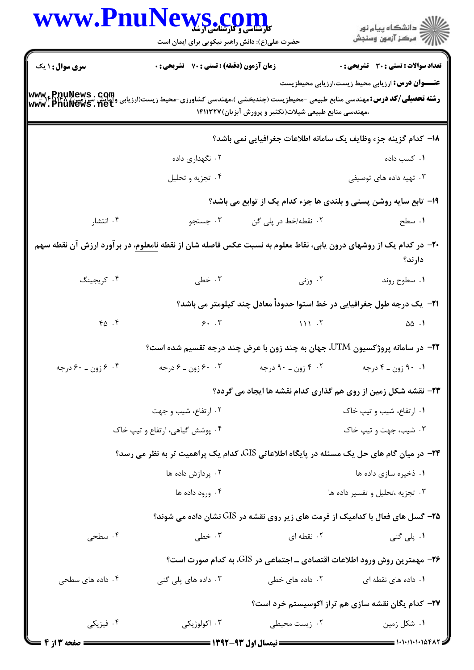|                                                                                                                                                                                     | www.PnuNews.con<br><b>کارشناسی و کارشناسی ارشد</b><br>حضرت علی(ع): دانش راهبر نیکویی برای ایمان است |                                                                                 | ڪ دانشڪاه پيام نور<br>/7 مرڪز آزمون وسنڊش                                                 |
|-------------------------------------------------------------------------------------------------------------------------------------------------------------------------------------|-----------------------------------------------------------------------------------------------------|---------------------------------------------------------------------------------|-------------------------------------------------------------------------------------------|
| <b>سری سوال : ۱ یک</b>                                                                                                                                                              | <b>زمان آزمون (دقیقه) : تستی : 70 قشریحی : 0</b>                                                    |                                                                                 | تعداد سوالات : تستى : 30 - تشريحي : 0                                                     |
| www.epnuNews . com<br>و <b>شته تحصیلی/کد درس:</b> مهندسی منابع طبیعی -محیطزیست (چندبخشی )،مهندسی کشاورزی-محیط زیست(ارزیابی وآمایش سرزمین) www.epnuNews . net<br>www . PnuNews . net |                                                                                                     | ،مهندسی منابع طبیعی شیلات(تکثیر و پرورش آبزیان)۱۴۱۱۳۲۷                          | <b>عنـــوان درس:</b> ارزیابی محیط زیست،ارزیابی محیطزیست                                   |
|                                                                                                                                                                                     |                                                                                                     |                                                                                 | 1۸– كدام گزينه جزء وظايف يك سامانه اطلاعات جغرافيايي نمي باشد؟                            |
|                                                                                                                                                                                     | ۰۲ نگهداری داده                                                                                     |                                                                                 | ۰۱ کسب داده                                                                               |
|                                                                                                                                                                                     | ۰۴ تجزيه و تحليل                                                                                    |                                                                                 | ۰۳ تهیه داده های توصیفی                                                                   |
|                                                                                                                                                                                     |                                                                                                     | ۱۹- تابع سایه روشن پستی و بلندی ها جزء کدام یک از توابع می باشد؟                |                                                                                           |
| ۰۴ انتشار                                                                                                                                                                           | ۰۳ جستجو                                                                                            | ۰۲ نقطه/خط در پلی گن                                                            | ۰۱ سطح                                                                                    |
| +۲- در کدام یک از روشهای درون یابی، نقاط معلوم به نسبت عکس فاصله شان از نقطه <u>نامعلوم</u> ، در برآورد ارزش آن نقطه سهم                                                            |                                                                                                     |                                                                                 | دارند؟                                                                                    |
| ۰۴ کریجینگ                                                                                                                                                                          | ۰۳ خطی                                                                                              | ۰۲ وزنی                                                                         | ۰۱ سطوح روند                                                                              |
|                                                                                                                                                                                     |                                                                                                     | <b>۲۱</b> - یک درجه طول جغرافیایی در خط استوا حدوداً معادل چند کیلومتر می باشد؟ |                                                                                           |
| $Y \Delta$ .                                                                                                                                                                        |                                                                                                     | $9.7$ $11.7$                                                                    | $\triangle \triangle$ .                                                                   |
|                                                                                                                                                                                     |                                                                                                     |                                                                                 | <b>۲۲</b> - در سامانه پروژکسیون UTM، جهان به چند زون با عرض چند درجه تقسیم شده است؟       |
| ۰۴ زون ـ ۶۰ درجه                                                                                                                                                                    | ۰.۳ وزون ـ ۶ درجه                                                                                   | ۰۲ وزن ـ ۹۰ درجه                                                                | ۰۱ ۹۰ زون ـ ۴ درجه                                                                        |
|                                                                                                                                                                                     |                                                                                                     |                                                                                 | <b>۲۳</b> - نقشه شکل زمین از روی هم گذاری کدام نقشه ها ایجاد می گردد؟                     |
|                                                                                                                                                                                     | ۰۲ ارتفاع، شیب و جهت                                                                                |                                                                                 | ۰۱ ارتفاع، شیب و تیپ خاک                                                                  |
|                                                                                                                                                                                     | ۰۴ پوشش گیاهی، ارتفاع و تیپ خاک                                                                     |                                                                                 | ۰۳ شیب، جهت و تیپ خاک                                                                     |
|                                                                                                                                                                                     |                                                                                                     |                                                                                 | ۲۴− در میان گام های حل یک مسئله در پایگاه اطلاعاتی GIS، کدام یک پراهمیت تر به نظر می رسد؟ |
|                                                                                                                                                                                     | ۰۲ پردازش داده ها                                                                                   |                                                                                 | ٠١ ذخيره سازي داده ها                                                                     |
|                                                                                                                                                                                     | ۰۴ ورود داده ها                                                                                     |                                                                                 | ٠٣ تجزيه ،تحليل وتفسير داده ها                                                            |
|                                                                                                                                                                                     |                                                                                                     |                                                                                 | <b>۲۵</b> - گسل های فعال با کدامیک از فرمت های زیر روی نقشه در GIS نشان داده می شوند؟     |
| ۰۴ سطحی                                                                                                                                                                             | ۰۳ خطی                                                                                              | ۰۲ نقطه ای                                                                      | ۱. پلی گنی                                                                                |
|                                                                                                                                                                                     |                                                                                                     |                                                                                 | <b>۲۶</b> - مهمترین روش ورود اطلاعات اقتصادی ـ اجتماعی در GIS، به کدام صورت است؟          |
| ۰۴ داده های سطحی                                                                                                                                                                    | ۰۳ داده های پلی گنی                                                                                 | ۰۲ داده های خطی                                                                 | ۰۱ داده های نقطه ای                                                                       |
|                                                                                                                                                                                     |                                                                                                     |                                                                                 | ۲۷– کدام یگان نقشه سازی هم تراز اکوسیستم خرد است؟                                         |
| ۰۴ فیزیکی                                                                                                                                                                           | ۰۳ اکولوژیکی                                                                                        | ۰۲ زیست محیطی                                                                   | ۰۱ شکل زمین                                                                               |